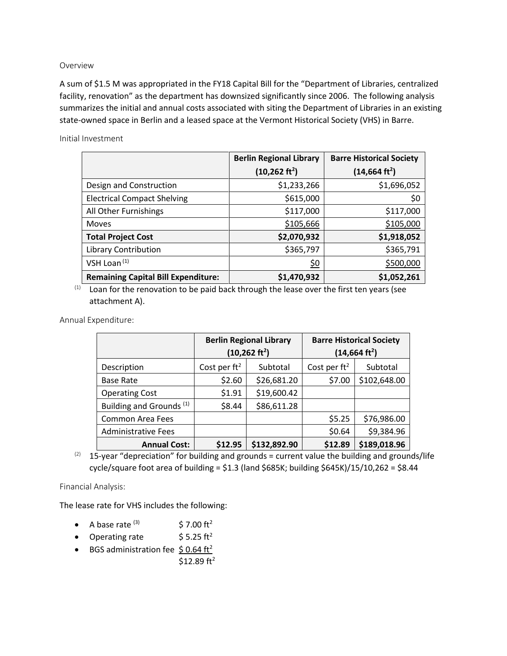## Overview

A sum of \$1.5 M was appropriated in the FY18 Capital Bill for the "Department of Libraries, centralized facility, renovation" as the department has downsized significantly since 2006. The following analysis summarizes the initial and annual costs associated with siting the Department of Libraries in an existing state-owned space in Berlin and a leased space at the Vermont Historical Society (VHS) in Barre.

Initial Investment

|                                            | <b>Berlin Regional Library</b> | <b>Barre Historical Society</b> |  |
|--------------------------------------------|--------------------------------|---------------------------------|--|
|                                            | $(10,262 \text{ ft}^2)$        | (14, 664 ft <sup>2</sup> )      |  |
| Design and Construction                    | \$1,233,266                    | \$1,696,052                     |  |
| <b>Electrical Compact Shelving</b>         | \$615,000                      | \$0                             |  |
| All Other Furnishings                      | \$117,000                      | \$117,000                       |  |
| <b>Moves</b>                               | \$105,666                      | \$105,000                       |  |
| <b>Total Project Cost</b>                  | \$2,070,932                    | \$1,918,052                     |  |
| Library Contribution                       | \$365,797                      | \$365,791                       |  |
| VSH Loan <sup>(1)</sup>                    | <u>\$0</u>                     | \$500,000                       |  |
| <b>Remaining Capital Bill Expenditure:</b> | \$1,470,932                    | \$1,052,261                     |  |

 $(1)$  Loan for the renovation to be paid back through the lease over the first ten years (see attachment A).

Annual Expenditure:

|                                     | <b>Berlin Regional Library</b><br>$(10,262 \text{ ft}^2)$ |              | <b>Barre Historical Society</b><br>(14, 664 ft <sup>2</sup> ) |              |
|-------------------------------------|-----------------------------------------------------------|--------------|---------------------------------------------------------------|--------------|
| Description                         | Cost per $ft^2$                                           | Subtotal     | Cost per $ft^2$                                               | Subtotal     |
| Base Rate                           | \$2.60                                                    | \$26,681.20  | \$7.00                                                        | \$102,648.00 |
| <b>Operating Cost</b>               | \$1.91                                                    | \$19,600.42  |                                                               |              |
| Building and Grounds <sup>(1)</sup> | \$8.44                                                    | \$86,611.28  |                                                               |              |
| <b>Common Area Fees</b>             |                                                           |              | \$5.25                                                        | \$76,986.00  |
| <b>Administrative Fees</b>          |                                                           |              | \$0.64                                                        | \$9,384.96   |
| <b>Annual Cost:</b>                 | \$12.95                                                   | \$132,892.90 | \$12.89                                                       | \$189,018.96 |

 $(2)$  15-year "depreciation" for building and grounds = current value the building and grounds/life cycle/square foot area of building = \$1.3 (land \$685K; building \$645K)/15/10,262 = \$8.44

Financial Analysis:

The lease rate for VHS includes the following:

- A base rate  $(3)$  \$ 7.00 ft<sup>2</sup>
- Operating rate  $$5.25 ft<sup>2</sup>$
- BGS administration fee  $$0.64 ft<sup>2</sup>$

 $$12.89 ft<sup>2</sup>$